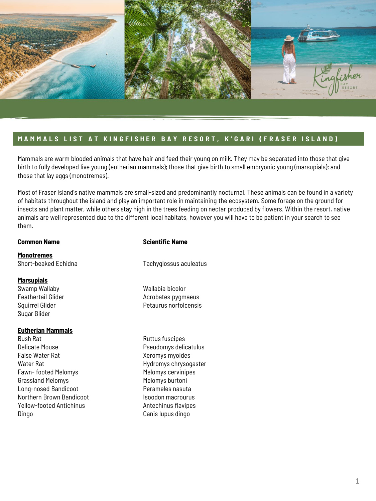

## **M A M M A L S L I S T A T K I N G F I S H E R B A Y R E S O R T , K ' G A R I ( F R A S E R I S L A N D )**

Mammals are warm blooded animals that have hair and feed their young on milk. They may be separated into those that give birth to fully developed live young (eutherian mammals); those that give birth to small embryonic young (marsupials); and those that lay eggs (monotremes).

Most of Fraser Island's native mammals are small-sized and predominantly nocturnal. These animals can be found in a variety of habitats throughout the island and play an important role in maintaining the ecosystem. Some forage on the ground for insects and plant matter, while others stay high in the trees feeding on nectar produced by flowers. Within the resort, native animals are well represented due to the different local habitats, however you will have to be patient in your search to see them.

**Monotremes** Short-beaked Echidna

#### **Marsupials**

Swamp Wallaby Feathertail Glider Squirrel Glider Sugar Glider

#### **Eutherian Mammals**

Bush Rat Delicate Mouse False Water Rat Water Rat Fawn- footed Melomys Grassland Melomys Long-nosed Bandicoot Northern Brown Bandicoot Yellow-footed Antichinus Dingo

### **Common Name** Scientific Name

Tachyglossus aculeatus

- Wallabia bicolor Acrobates pygmaeus Petaurus norfolcensis
- Ruttus fuscipes Pseudomys delicatulus Xeromys myoides Hydromys chrysogaster Melomys cervinipes Melomys burtoni Perameles nasuta Isoodon macrourus Antechinus flavipes Canis lupus dingo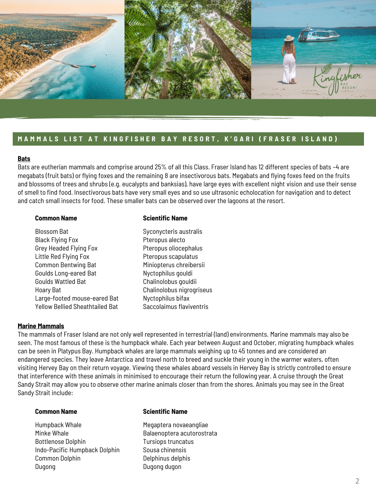

# **MAMMALS LIST AT KINGFISHER BAY RESORT, K'GARI (FRASER ISLAND)**

### **Bats**

Bats are eutherian mammals and comprise around 25% of all this Class. Fraser Island has 12 different species of bats –4 are megabats (fruit bats) or flying foxes and the remaining 8 are insectivorous bats. Megabats and flying foxes feed on the fruits and blossoms of trees and shrubs (e.g. eucalypts and banksias), have large eyes with excellent night vision and use their sense of smell to find food. Insectivorous bats have very small eyes and so use ultrasonic echolocation for navigation and to detect and catch small insects for food. These smaller bats can be observed over the lagoons at the resort.

#### **Common Name** Scientific Name

Blossom Bat Black Flying Fox Grey Headed Flying Fox Little Red Flying Fox Common Bentwing Bat Goulds Long-eared Bat Goulds Wattled Bat Hoary Bat Large-footed mouse-eared Bat Yellow Bellied Sheathtailed Bat Syconycteris australis Pteropus alecto Pteropus oliocephalus Pteropus scapulatus Miniopterus chreibersii Nyctophilus gouldi Chalinolobus gouldii Chalinolobus nigrogriseus Nyctophilus bifax Saccolaimus flaviventris

### **Marine Mammals**

The mammals of Fraser Island are not only well represented in terrestrial (land) environments. Marine mammals may also be seen. The most famous of these is the humpback whale. Each year between August and October, migrating humpback whales can be seen in Platypus Bay. Humpback whales are large mammals weighing up to 45 tonnes and are considered an endangered species. They leave Antarctica and travel north to breed and suckle their young in the warmer waters, often visiting Hervey Bay on their return voyage. Viewing these whales aboard vessels in Hervey Bay is strictly controlled to ensure that interference with these animals in minimised to encourage their return the following year. A cruise through the Great Sandy Strait may allow you to observe other marine animals closer than from the shores. Animals you may see in the Great Sandy Strait include:

Humpback Whale Minke Whale Bottlenose Dolphin Indo-Pacific Humpback Dolphin Common Dolphin Dugong

#### **Common Name** Scientific Name

Megaptera novaeangliae Balaenoptera acutorostrata Tursiops truncatus Sousa chinensis Delphinus delphis Dugong dugon